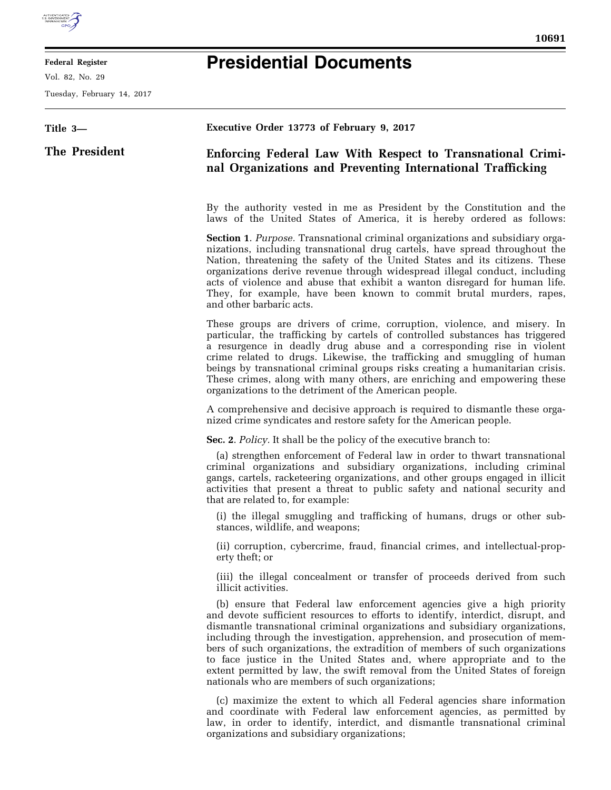

E

**Federal Register** 

Vol. 82, No. 29

Tuesday, February 14, 2017

## **Presidential Documents**

| Title 3-      | Executive Order 13773 of February 9, 2017                                                                                                                                                                                                                                                                                                                                                                                                                                                                                                                                                                            |
|---------------|----------------------------------------------------------------------------------------------------------------------------------------------------------------------------------------------------------------------------------------------------------------------------------------------------------------------------------------------------------------------------------------------------------------------------------------------------------------------------------------------------------------------------------------------------------------------------------------------------------------------|
| The President | Enforcing Federal Law With Respect to Transnational Crimi-<br>nal Organizations and Preventing International Trafficking                                                                                                                                                                                                                                                                                                                                                                                                                                                                                             |
|               | By the authority vested in me as President by the Constitution and the<br>laws of the United States of America, it is hereby ordered as follows:                                                                                                                                                                                                                                                                                                                                                                                                                                                                     |
|               | <b>Section 1.</b> Purpose. Transnational criminal organizations and subsidiary orga-<br>nizations, including transnational drug cartels, have spread throughout the<br>Nation, threatening the safety of the United States and its citizens. These<br>organizations derive revenue through widespread illegal conduct, including<br>acts of violence and abuse that exhibit a wanton disregard for human life.<br>They, for example, have been known to commit brutal murders, rapes,<br>and other barbaric acts.                                                                                                    |
|               | These groups are drivers of crime, corruption, violence, and misery. In<br>particular, the trafficking by cartels of controlled substances has triggered<br>a resurgence in deadly drug abuse and a corresponding rise in violent<br>crime related to drugs. Likewise, the trafficking and smuggling of human<br>beings by transnational criminal groups risks creating a humanitarian crisis.<br>These crimes, along with many others, are enriching and empowering these<br>organizations to the detriment of the American people.                                                                                 |
|               | A comprehensive and decisive approach is required to dismantle these orga-<br>nized crime syndicates and restore safety for the American people.                                                                                                                                                                                                                                                                                                                                                                                                                                                                     |
|               | Sec. 2. Policy. It shall be the policy of the executive branch to:                                                                                                                                                                                                                                                                                                                                                                                                                                                                                                                                                   |
|               | (a) strengthen enforcement of Federal law in order to thwart transnational<br>criminal organizations and subsidiary organizations, including criminal<br>gangs, cartels, racketeering organizations, and other groups engaged in illicit<br>activities that present a threat to public safety and national security and<br>that are related to, for example:                                                                                                                                                                                                                                                         |
|               | (i) the illegal smuggling and trafficking of humans, drugs or other sub-<br>stances, wildlife, and weapons;                                                                                                                                                                                                                                                                                                                                                                                                                                                                                                          |
|               | (ii) corruption, cybercrime, fraud, financial crimes, and intellectual-prop-<br>erty theft; or                                                                                                                                                                                                                                                                                                                                                                                                                                                                                                                       |
|               | (iii) the illegal concealment or transfer of proceeds derived from such<br>illicit activities.                                                                                                                                                                                                                                                                                                                                                                                                                                                                                                                       |
|               | (b) ensure that Federal law enforcement agencies give a high priority<br>and devote sufficient resources to efforts to identify, interdict, disrupt, and<br>dismantle transnational criminal organizations and subsidiary organizations,<br>including through the investigation, apprehension, and prosecution of mem-<br>bers of such organizations, the extradition of members of such organizations<br>to face justice in the United States and, where appropriate and to the<br>extent permitted by law, the swift removal from the United States of foreign<br>nationals who are members of such organizations; |
|               | (c) maximize the extent to which all Federal agencies share information<br>and coordinate with Federal law enforcement agencies, as permitted by<br>law, in order to identify, interdict, and dismantle transnational criminal<br>organizations and subsidiary organizations;                                                                                                                                                                                                                                                                                                                                        |
|               |                                                                                                                                                                                                                                                                                                                                                                                                                                                                                                                                                                                                                      |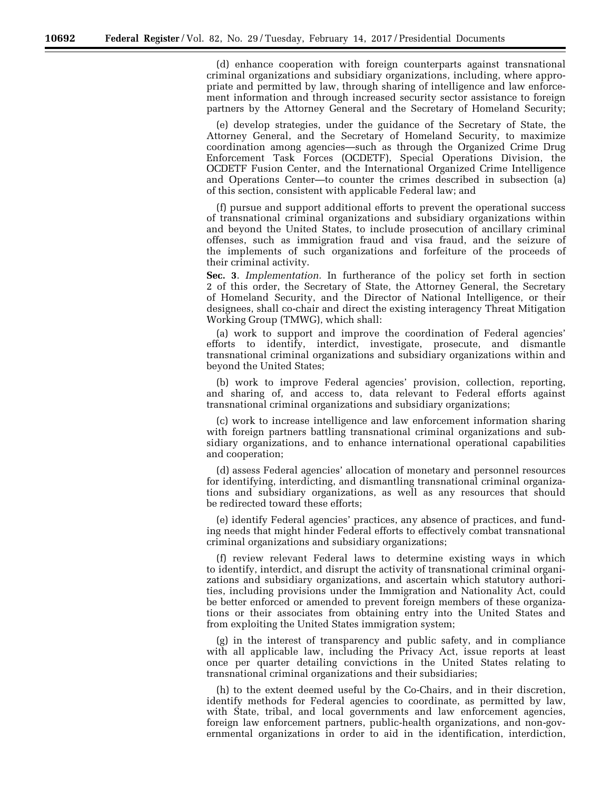(d) enhance cooperation with foreign counterparts against transnational criminal organizations and subsidiary organizations, including, where appropriate and permitted by law, through sharing of intelligence and law enforcement information and through increased security sector assistance to foreign partners by the Attorney General and the Secretary of Homeland Security;

(e) develop strategies, under the guidance of the Secretary of State, the Attorney General, and the Secretary of Homeland Security, to maximize coordination among agencies—such as through the Organized Crime Drug Enforcement Task Forces (OCDETF), Special Operations Division, the OCDETF Fusion Center, and the International Organized Crime Intelligence and Operations Center—to counter the crimes described in subsection (a) of this section, consistent with applicable Federal law; and

(f) pursue and support additional efforts to prevent the operational success of transnational criminal organizations and subsidiary organizations within and beyond the United States, to include prosecution of ancillary criminal offenses, such as immigration fraud and visa fraud, and the seizure of the implements of such organizations and forfeiture of the proceeds of their criminal activity.

**Sec. 3**. *Implementation.* In furtherance of the policy set forth in section 2 of this order, the Secretary of State, the Attorney General, the Secretary of Homeland Security, and the Director of National Intelligence, or their designees, shall co-chair and direct the existing interagency Threat Mitigation Working Group (TMWG), which shall:

(a) work to support and improve the coordination of Federal agencies' efforts to identify, interdict, investigate, prosecute, and dismantle transnational criminal organizations and subsidiary organizations within and beyond the United States;

(b) work to improve Federal agencies' provision, collection, reporting, and sharing of, and access to, data relevant to Federal efforts against transnational criminal organizations and subsidiary organizations;

(c) work to increase intelligence and law enforcement information sharing with foreign partners battling transnational criminal organizations and subsidiary organizations, and to enhance international operational capabilities and cooperation;

(d) assess Federal agencies' allocation of monetary and personnel resources for identifying, interdicting, and dismantling transnational criminal organizations and subsidiary organizations, as well as any resources that should be redirected toward these efforts;

(e) identify Federal agencies' practices, any absence of practices, and funding needs that might hinder Federal efforts to effectively combat transnational criminal organizations and subsidiary organizations;

(f) review relevant Federal laws to determine existing ways in which to identify, interdict, and disrupt the activity of transnational criminal organizations and subsidiary organizations, and ascertain which statutory authorities, including provisions under the Immigration and Nationality Act, could be better enforced or amended to prevent foreign members of these organizations or their associates from obtaining entry into the United States and from exploiting the United States immigration system;

(g) in the interest of transparency and public safety, and in compliance with all applicable law, including the Privacy Act, issue reports at least once per quarter detailing convictions in the United States relating to transnational criminal organizations and their subsidiaries;

(h) to the extent deemed useful by the Co-Chairs, and in their discretion, identify methods for Federal agencies to coordinate, as permitted by law, with State, tribal, and local governments and law enforcement agencies, foreign law enforcement partners, public-health organizations, and non-governmental organizations in order to aid in the identification, interdiction,